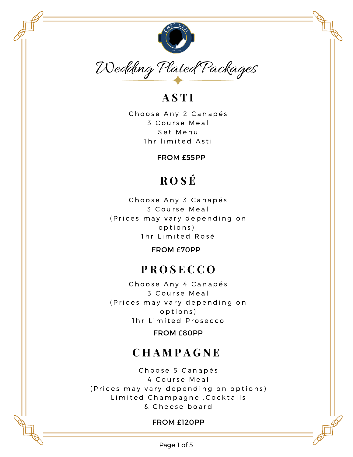

## **A S T I**

Choose Any 2 Canapés 3 Course Meal Set Menu 1hr limited Asti

FROM £55PP

# **R O S É**

Choose Any 3 Canapés 3 Course Meal (Prices may vary depending on o p t i o n s ) 1hr Limited Rosé

FROM £70PP

## **P R O S E C C O**

Choose Any 4 Canapés 3 Course Meal (Prices may vary depending on o p t i o n s ) 1hr Limited Prosecco

FROM £80PP

## **C H A M P A G N E**

Choose 5 Canapés 4 Course Meal (Prices may vary depending on options) Limited Champagne, Cocktails & Cheese board

#### FROM £120PP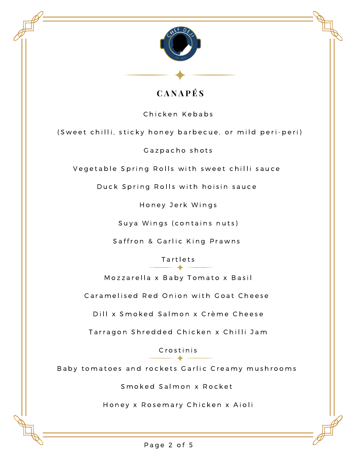

### **C A N A P É S**

Chicken Kebabs

(Sweet chilli, sticky honey barbecue, or mild peri-peri)

Gazpacho shots

Vegetable Spring Rolls with sweet chilli sauce

Duck Spring Rolls with hoisin sauce

Honey Jerk Wings

Suya Wings (contains nuts)

Saffron & Garlic King Prawns

**Tartlets** 

Mozzarella x Baby Tomato x Basil

Caramelised Red Onion with Goat Cheese

Dill x Smoked Salmon x Crème Cheese

Tarragon Shredded Chicken x Chilli Jam

C r o s t i n i s

Baby tomatoes and rockets Garlic Creamy mushrooms

Smoked Salmon x Rocket

Honey x Rosemary Chicken x Aioli

Page 2 of 5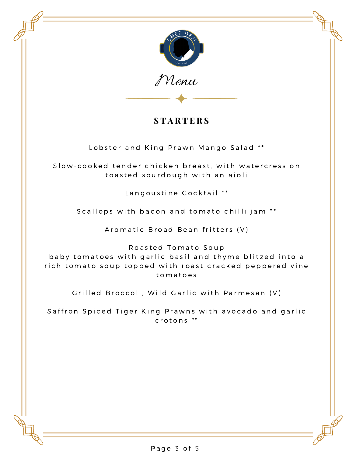

Menu

### **S T A R T E R S**

Lobster and King Prawn Mango Salad \*\*

Slow-cooked tender chicken breast, with watercress on to a sted sourdough with an aioli

Langoustine Cocktail \*\*

Scallops with bacon and tomato chilli jam \*\*

Aromatic Broad Bean fritters (V)

Roasted Tomato Soup

baby tomatoes with garlic basil and thyme blitzed into a rich tomato soup topped with roast cracked peppered vine t o m a t o e s

Grilled Broccoli, Wild Garlic with Parmesan (V)

Saffron Spiced Tiger King Prawns with avocado and garlic  $crotons$   $**$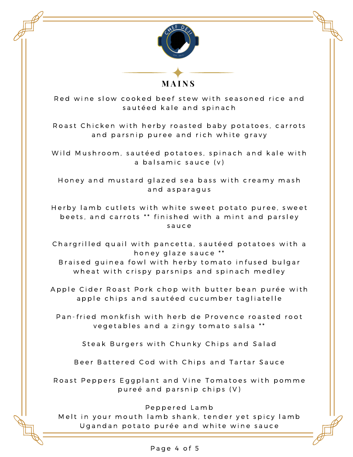

**M A I N S**

Red wine slow cooked beef stew with seasoned rice and sautéed kale and spinach

Roast Chicken with herby roasted baby potatoes, carrots and parsnip puree and rich white gravy

Wild Mushroom, sautéed potatoes, spinach and kale with a balsamic sauce (v)

Honey and mustard glazed sea bass with creamy mash and asparagus

Herby lamb cutlets with white sweet potato puree, sweet beets, and carrots \*\* finished with a mint and parsley s a u c e

Chargrilled quail with pancetta, sautéed potatoes with a honey glaze sauce \*\*

Braised guinea fowl with herby tomato infused bulgar wheat with crispy parsnips and spinach medley

Apple Cider Roast Pork chop with butter bean purée with apple chips and sautéed cucumber tagliatelle

Pan-fried monkfish with herb de Provence roasted root vegetables and a zingy tomato salsa \*\*

Steak Burgers with Chunky Chips and Salad

Beer Battered Cod with Chips and Tartar Sauce

Roast Peppers Eggplant and Vine Tomatoes with pomme pureé and parsnip chips  $(V)$ 

Peppered Lamb

Melt in your mouth lamb shank, tender yet spicy lamb Ugandan potato purée and white wine sauce